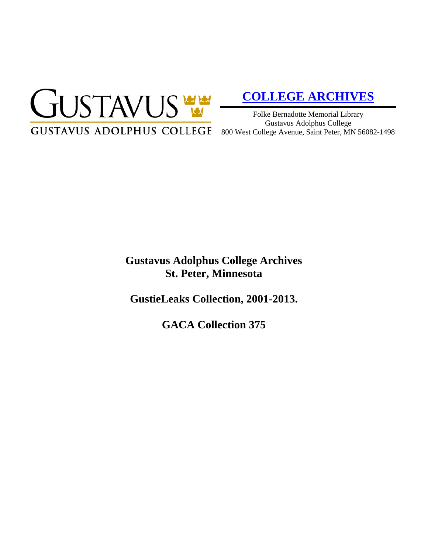

# **[COLLEGE ARCHIVES](http://gustavus.edu/academics/library/archives/)**

Folke Bernadotte Memorial Library Gustavus Adolphus College

# **Gustavus Adolphus College Archives St. Peter, Minnesota**

**GustieLeaks Collection, 2001-2013.**

**GACA Collection 375**